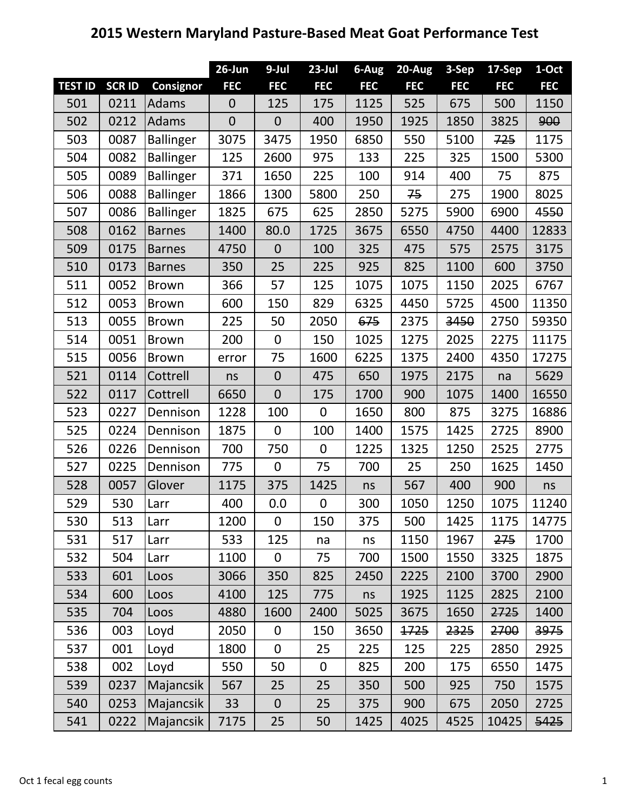## **2015 Western Maryland Pasture‐Based Meat Goat Performance Test**

|                |              |                  | $26$ -Jun        | 9-Jul            | $23$ -Jul        | $6 - Aug$  | $20 - Aug$ | 3-Sep      | 17-Sep     | 1-Oct      |
|----------------|--------------|------------------|------------------|------------------|------------------|------------|------------|------------|------------|------------|
| <b>TEST ID</b> | <b>SCRID</b> | Consignor        | <b>FEC</b>       | <b>FEC</b>       | <b>FEC</b>       | <b>FEC</b> | <b>FEC</b> | <b>FEC</b> | <b>FEC</b> | <b>FEC</b> |
| 501            | 0211         | Adams            | $\boldsymbol{0}$ | 125              | 175              | 1125       | 525        | 675        | 500        | 1150       |
| 502            | 0212         | Adams            | $\overline{0}$   | $\theta$         | 400              | 1950       | 1925       | 1850       | 3825       | 900        |
| 503            | 0087         | <b>Ballinger</b> | 3075             | 3475             | 1950             | 6850       | 550        | 5100       | 725        | 1175       |
| 504            | 0082         | <b>Ballinger</b> | 125              | 2600             | 975              | 133        | 225        | 325        | 1500       | 5300       |
| 505            | 0089         | <b>Ballinger</b> | 371              | 1650             | 225              | 100        | 914        | 400        | 75         | 875        |
| 506            | 0088         | <b>Ballinger</b> | 1866             | 1300             | 5800             | 250        | 75         | 275        | 1900       | 8025       |
| 507            | 0086         | <b>Ballinger</b> | 1825             | 675              | 625              | 2850       | 5275       | 5900       | 6900       | 4550       |
| 508            | 0162         | <b>Barnes</b>    | 1400             | 80.0             | 1725             | 3675       | 6550       | 4750       | 4400       | 12833      |
| 509            | 0175         | <b>Barnes</b>    | 4750             | $\overline{0}$   | 100              | 325        | 475        | 575        | 2575       | 3175       |
| 510            | 0173         | <b>Barnes</b>    | 350              | 25               | 225              | 925        | 825        | 1100       | 600        | 3750       |
| 511            | 0052         | <b>Brown</b>     | 366              | 57               | 125              | 1075       | 1075       | 1150       | 2025       | 6767       |
| 512            | 0053         | <b>Brown</b>     | 600              | 150              | 829              | 6325       | 4450       | 5725       | 4500       | 11350      |
| 513            | 0055         | <b>Brown</b>     | 225              | 50               | 2050             | 675        | 2375       | 3450       | 2750       | 59350      |
| 514            | 0051         | <b>Brown</b>     | 200              | $\mathbf 0$      | 150              | 1025       | 1275       | 2025       | 2275       | 11175      |
| 515            | 0056         | <b>Brown</b>     | error            | 75               | 1600             | 6225       | 1375       | 2400       | 4350       | 17275      |
| 521            | 0114         | Cottrell         | ns               | $\boldsymbol{0}$ | 475              | 650        | 1975       | 2175       | na         | 5629       |
| 522            | 0117         | Cottrell         | 6650             | $\mathbf{0}$     | 175              | 1700       | 900        | 1075       | 1400       | 16550      |
| 523            | 0227         | Dennison         | 1228             | 100              | 0                | 1650       | 800        | 875        | 3275       | 16886      |
| 525            | 0224         | Dennison         | 1875             | $\overline{0}$   | 100              | 1400       | 1575       | 1425       | 2725       | 8900       |
| 526            | 0226         | Dennison         | 700              | 750              | $\mathbf 0$      | 1225       | 1325       | 1250       | 2525       | 2775       |
| 527            | 0225         | Dennison         | 775              | $\mathbf 0$      | 75               | 700        | 25         | 250        | 1625       | 1450       |
| 528            | 0057         | Glover           | 1175             | 375              | 1425             | ns         | 567        | 400        | 900        | ns         |
| 529            | 530          | Larr             | 400              | 0.0              | 0                | 300        | 1050       | 1250       | 1075       | 11240      |
| 530            | 513          | Larr             | 1200             | $\mathbf 0$      | 150              | 375        | 500        | 1425       | 1175       | 14775      |
| 531            | 517          | Larr             | 533              | 125              | na               | ns         | 1150       | 1967       | 275        | 1700       |
| 532            | 504          | Larr             | 1100             | $\boldsymbol{0}$ | 75               | 700        | 1500       | 1550       | 3325       | 1875       |
| 533            | 601          | Loos             | 3066             | 350              | 825              | 2450       | 2225       | 2100       | 3700       | 2900       |
| 534            | 600          | Loos             | 4100             | 125              | 775              | ns         | 1925       | 1125       | 2825       | 2100       |
| 535            | 704          | Loos             | 4880             | 1600             | 2400             | 5025       | 3675       | 1650       | 2725       | 1400       |
| 536            | 003          | Loyd             | 2050             | $\mathbf 0$      | 150              | 3650       | 1725       | 2325       | 2700       | 3975       |
| 537            | 001          | Loyd             | 1800             | $\mathbf 0$      | 25               | 225        | 125        | 225        | 2850       | 2925       |
| 538            | 002          | Loyd             | 550              | 50               | $\boldsymbol{0}$ | 825        | 200        | 175        | 6550       | 1475       |
| 539            | 0237         | Majancsik        | 567              | 25               | 25               | 350        | 500        | 925        | 750        | 1575       |
| 540            | 0253         | Majancsik        | 33               | $\theta$         | 25               | 375        | 900        | 675        | 2050       | 2725       |
| 541            | 0222         | Majancsik        | 7175             | 25               | 50               | 1425       | 4025       | 4525       | 10425      | 5425       |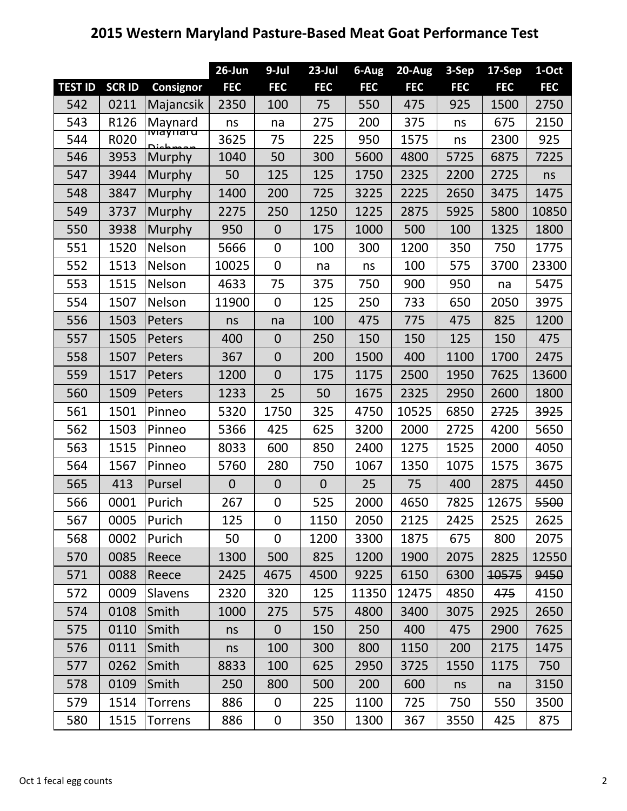## **2015 Western Maryland Pasture‐Based Meat Goat Performance Test**

|                |              |                               | $26$ -Jun      | 9-Jul            | $23$ -Jul      | 6-Aug      | 20-Aug     | 3-Sep      | 17-Sep     | 1-Oct      |
|----------------|--------------|-------------------------------|----------------|------------------|----------------|------------|------------|------------|------------|------------|
| <b>TEST ID</b> | <b>SCRID</b> | <b>Consignor</b>              | <b>FEC</b>     | <b>FEC</b>       | <b>FEC</b>     | <b>FEC</b> | <b>FEC</b> | <b>FEC</b> | <b>FEC</b> | <b>FEC</b> |
| 542            | 0211         | Majancsik                     | 2350           | 100              | 75             | 550        | 475        | 925        | 1500       | 2750       |
| 543            | R126         | Maynard                       | ns             | na               | 275            | 200        | 375        | ns         | 675        | 2150       |
| 544            | R020         | <u> ाvाaýπar u</u><br>مممطعنه | 3625           | 75               | 225            | 950        | 1575       | ns         | 2300       | 925        |
| 546            | 3953         | Murphy                        | 1040           | 50               | 300            | 5600       | 4800       | 5725       | 6875       | 7225       |
| 547            | 3944         | Murphy                        | 50             | 125              | 125            | 1750       | 2325       | 2200       | 2725       | ns         |
| 548            | 3847         | Murphy                        | 1400           | 200              | 725            | 3225       | 2225       | 2650       | 3475       | 1475       |
| 549            | 3737         | Murphy                        | 2275           | 250              | 1250           | 1225       | 2875       | 5925       | 5800       | 10850      |
| 550            | 3938         | Murphy                        | 950            | $\mathbf{0}$     | 175            | 1000       | 500        | 100        | 1325       | 1800       |
| 551            | 1520         | Nelson                        | 5666           | $\mathbf 0$      | 100            | 300        | 1200       | 350        | 750        | 1775       |
| 552            | 1513         | Nelson                        | 10025          | $\mathbf 0$      | na             | ns         | 100        | 575        | 3700       | 23300      |
| 553            | 1515         | Nelson                        | 4633           | 75               | 375            | 750        | 900        | 950        | na         | 5475       |
| 554            | 1507         | Nelson                        | 11900          | $\mathbf 0$      | 125            | 250        | 733        | 650        | 2050       | 3975       |
| 556            | 1503         | Peters                        | ns             | na               | 100            | 475        | 775        | 475        | 825        | 1200       |
| 557            | 1505         | Peters                        | 400            | $\overline{0}$   | 250            | 150        | 150        | 125        | 150        | 475        |
| 558            | 1507         | Peters                        | 367            | $\overline{0}$   | 200            | 1500       | 400        | 1100       | 1700       | 2475       |
| 559            | 1517         | Peters                        | 1200           | $\overline{0}$   | 175            | 1175       | 2500       | 1950       | 7625       | 13600      |
| 560            | 1509         | Peters                        | 1233           | 25               | 50             | 1675       | 2325       | 2950       | 2600       | 1800       |
| 561            | 1501         | Pinneo                        | 5320           | 1750             | 325            | 4750       | 10525      | 6850       | 2725       | 3925       |
| 562            | 1503         | Pinneo                        | 5366           | 425              | 625            | 3200       | 2000       | 2725       | 4200       | 5650       |
| 563            | 1515         | Pinneo                        | 8033           | 600              | 850            | 2400       | 1275       | 1525       | 2000       | 4050       |
| 564            | 1567         | Pinneo                        | 5760           | 280              | 750            | 1067       | 1350       | 1075       | 1575       | 3675       |
| 565            | 413          | Pursel                        | $\overline{0}$ | $\overline{0}$   | $\overline{0}$ | 25         | 75         | 400        | 2875       | 4450       |
| 566            | 0001         | Purich                        | 267            | $\boldsymbol{0}$ | 525            | 2000       | 4650       | 7825       | 12675      | 5500       |
| 567            | 0005         | Purich                        | 125            | $\boldsymbol{0}$ | 1150           | 2050       | 2125       | 2425       | 2525       | 2625       |
| 568            | 0002         | Purich                        | 50             | $\overline{0}$   | 1200           | 3300       | 1875       | 675        | 800        | 2075       |
| 570            | 0085         | Reece                         | 1300           | 500              | 825            | 1200       | 1900       | 2075       | 2825       | 12550      |
| 571            | 0088         | Reece                         | 2425           | 4675             | 4500           | 9225       | 6150       | 6300       | 10575      | 9450       |
| 572            | 0009         | <b>Slavens</b>                | 2320           | 320              | 125            | 11350      | 12475      | 4850       | 475        | 4150       |
| 574            | 0108         | Smith                         | 1000           | 275              | 575            | 4800       | 3400       | 3075       | 2925       | 2650       |
| 575            | 0110         | Smith                         | ns             | $\mathbf{0}$     | 150            | 250        | 400        | 475        | 2900       | 7625       |
| 576            | 0111         | Smith                         | ns             | 100              | 300            | 800        | 1150       | 200        | 2175       | 1475       |
| 577            | 0262         | Smith                         | 8833           | 100              | 625            | 2950       | 3725       | 1550       | 1175       | 750        |
| 578            | 0109         | Smith                         | 250            | 800              | 500            | 200        | 600        | ns         | na         | 3150       |
| 579            | 1514         | <b>Torrens</b>                | 886            | $\mathbf 0$      | 225            | 1100       | 725        | 750        | 550        | 3500       |
| 580            | 1515         | <b>Torrens</b>                | 886            | 0                | 350            | 1300       | 367        | 3550       | 425        | 875        |